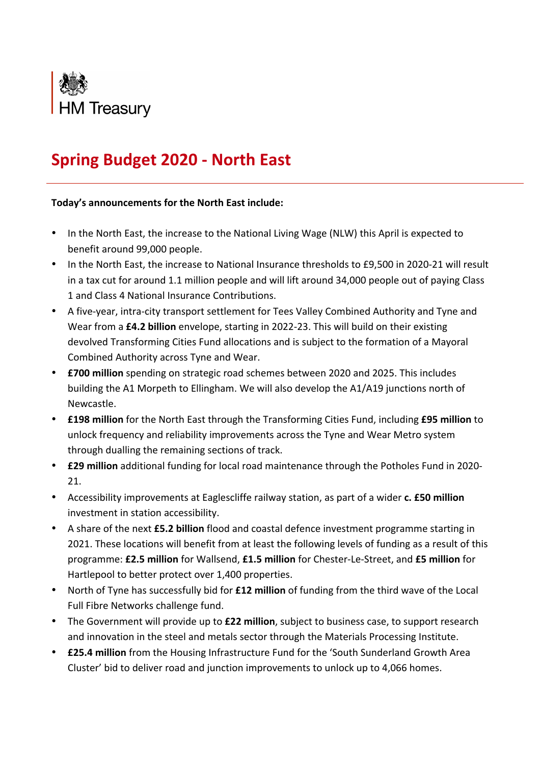

## **Spring Budget 2020 - North East**

## **Today's announcements for the North East include:**

- In the North East, the increase to the National Living Wage (NLW) this April is expected to benefit around 99,000 people.
- In the North East, the increase to National Insurance thresholds to £9,500 in 2020-21 will result in a tax cut for around 1.1 million people and will lift around 34,000 people out of paying Class 1 and Class 4 National Insurance Contributions.
- A five-year, intra-city transport settlement for Tees Valley Combined Authority and Tyne and Wear from a £4.2 billion envelope, starting in 2022-23. This will build on their existing devolved Transforming Cities Fund allocations and is subject to the formation of a Mayoral Combined Authority across Tyne and Wear.
- **£700 million** spending on strategic road schemes between 2020 and 2025. This includes building the A1 Morpeth to Ellingham. We will also develop the A1/A19 junctions north of Newcastle.
- **£198 million** for the North East through the Transforming Cities Fund, including £95 million to unlock frequency and reliability improvements across the Tyne and Wear Metro system through dualling the remaining sections of track.
- **£29 million** additional funding for local road maintenance through the Potholes Fund in 2020-21.
- Accessibility improvements at Eaglescliffe railway station, as part of a wider **c. £50 million** investment in station accessibility.
- A share of the next **£5.2 billion** flood and coastal defence investment programme starting in 2021. These locations will benefit from at least the following levels of funding as a result of this programme: £2.5 million for Wallsend, £1.5 million for Chester-Le-Street, and £5 million for Hartlepool to better protect over 1,400 properties.
- North of Tyne has successfully bid for **£12 million** of funding from the third wave of the Local Full Fibre Networks challenge fund.
- The Government will provide up to **£22 million**, subject to business case, to support research and innovation in the steel and metals sector through the Materials Processing Institute.
- **£25.4 million** from the Housing Infrastructure Fund for the 'South Sunderland Growth Area Cluster' bid to deliver road and junction improvements to unlock up to 4,066 homes.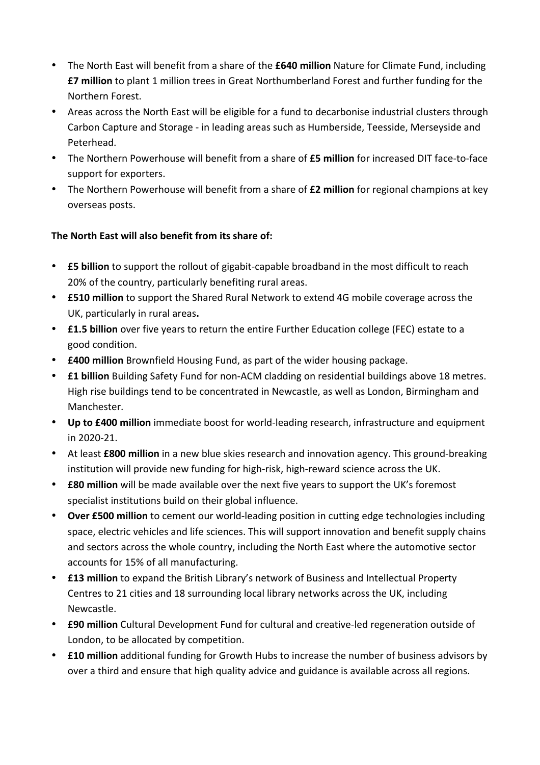- The North East will benefit from a share of the **£640 million** Nature for Climate Fund, including **£7** million to plant 1 million trees in Great Northumberland Forest and further funding for the Northern Forest.
- Areas across the North East will be eligible for a fund to decarbonise industrial clusters through Carbon Capture and Storage - in leading areas such as Humberside, Teesside, Merseyside and Peterhead.
- The Northern Powerhouse will benefit from a share of **£5 million** for increased DIT face-to-face support for exporters.
- The Northern Powerhouse will benefit from a share of **£2 million** for regional champions at key overseas posts.

## **The North Fast will also benefit from its share of:**

- **£5 billion** to support the rollout of gigabit-capable broadband in the most difficult to reach 20% of the country, particularly benefiting rural areas.
- **£510 million** to support the Shared Rural Network to extend 4G mobile coverage across the UK, particularly in rural areas.
- **£1.5 billion** over five years to return the entire Further Education college (FEC) estate to a good condition.
- **£400 million** Brownfield Housing Fund, as part of the wider housing package.
- **£1 billion** Building Safety Fund for non-ACM cladding on residential buildings above 18 metres. High rise buildings tend to be concentrated in Newcastle, as well as London, Birmingham and Manchester.
- Up to £400 million immediate boost for world-leading research, infrastructure and equipment in 2020-21.
- At least **£800 million** in a new blue skies research and innovation agency. This ground-breaking institution will provide new funding for high-risk, high-reward science across the UK.
- **£80 million** will be made available over the next five years to support the UK's foremost specialist institutions build on their global influence.
- Over £500 million to cement our world-leading position in cutting edge technologies including space, electric vehicles and life sciences. This will support innovation and benefit supply chains and sectors across the whole country, including the North East where the automotive sector accounts for 15% of all manufacturing.
- **£13 million** to expand the British Library's network of Business and Intellectual Property Centres to 21 cities and 18 surrounding local library networks across the UK, including Newcastle.
- **£90 million** Cultural Development Fund for cultural and creative-led regeneration outside of London, to be allocated by competition.
- **£10 million** additional funding for Growth Hubs to increase the number of business advisors by over a third and ensure that high quality advice and guidance is available across all regions.